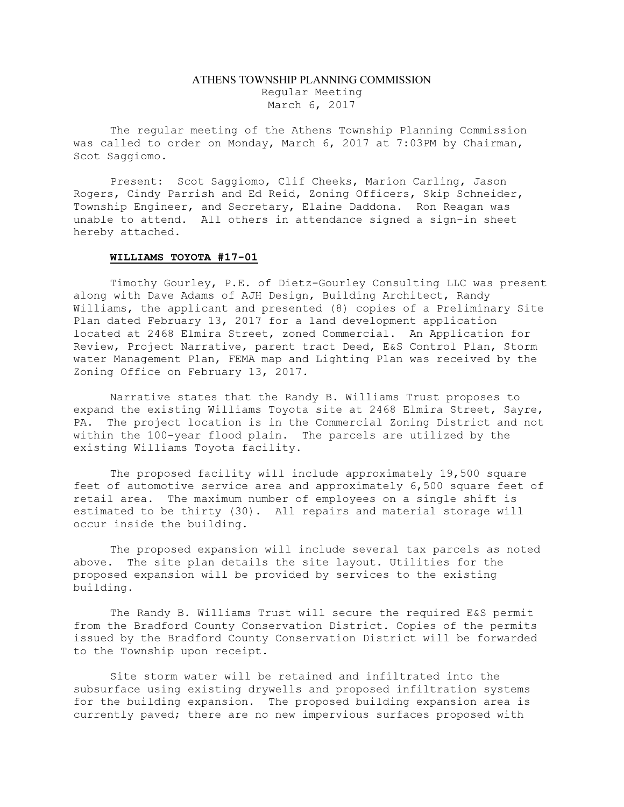## ATHENS TOWNSHIP PLANNING COMMISSION Regular Meeting March 6, 2017

The regular meeting of the Athens Township Planning Commission was called to order on Monday, March 6, 2017 at 7:03PM by Chairman, Scot Saggiomo.

Present: Scot Saggiomo, Clif Cheeks, Marion Carling, Jason Rogers, Cindy Parrish and Ed Reid, Zoning Officers, Skip Schneider, Township Engineer, and Secretary, Elaine Daddona. Ron Reagan was unable to attend. All others in attendance signed a sign-in sheet hereby attached.

## WILLIAMS TOYOTA #17-01

Timothy Gourley, P.E. of Dietz-Gourley Consulting LLC was present along with Dave Adams of AJH Design, Building Architect, Randy Williams, the applicant and presented (8) copies of a Preliminary Site Plan dated February 13, 2017 for a land development application located at 2468 Elmira Street, zoned Commercial. An Application for Review, Project Narrative, parent tract Deed, E&S Control Plan, Storm water Management Plan, FEMA map and Lighting Plan was received by the Zoning Office on February 13, 2017.

Narrative states that the Randy B. Williams Trust proposes to expand the existing Williams Toyota site at 2468 Elmira Street, Sayre, PA. The project location is in the Commercial Zoning District and not within the 100-year flood plain. The parcels are utilized by the existing Williams Toyota facility.

The proposed facility will include approximately 19,500 square feet of automotive service area and approximately 6,500 square feet of retail area. The maximum number of employees on a single shift is estimated to be thirty (30). All repairs and material storage will occur inside the building.

The proposed expansion will include several tax parcels as noted above. The site plan details the site layout. Utilities for the proposed expansion will be provided by services to the existing building.

The Randy B. Williams Trust will secure the required E&S permit from the Bradford County Conservation District. Copies of the permits issued by the Bradford County Conservation District will be forwarded to the Township upon receipt.

Site storm water will be retained and infiltrated into the subsurface using existing drywells and proposed infiltration systems for the building expansion. The proposed building expansion area is currently paved; there are no new impervious surfaces proposed with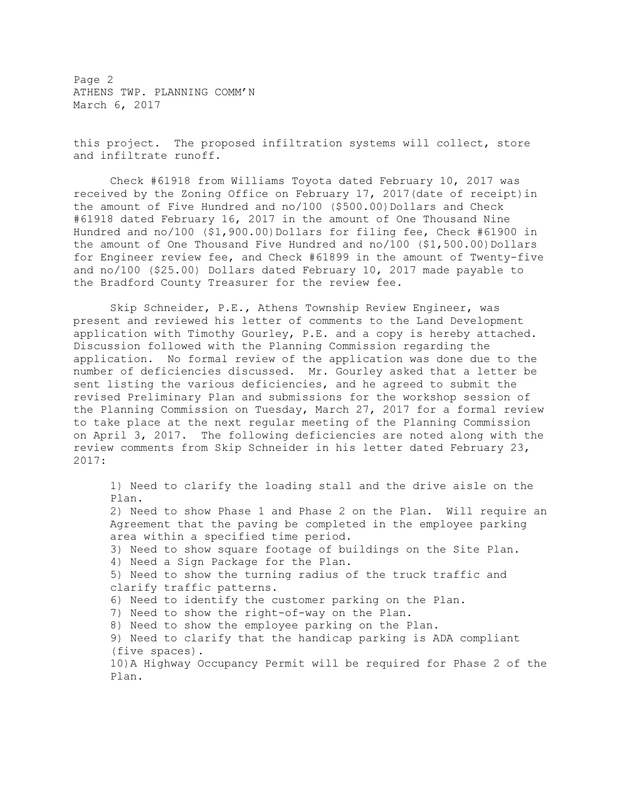Page 2 ATHENS TWP. PLANNING COMM'N March 6, 2017

this project. The proposed infiltration systems will collect, store and infiltrate runoff.

Check #61918 from Williams Toyota dated February 10, 2017 was received by the Zoning Office on February 17, 2017(date of receipt)in the amount of Five Hundred and  $no/100$  (\$500.00)Dollars and Check #61918 dated February 16, 2017 in the amount of One Thousand Nine Hundred and no/100 (\$1,900.00)Dollars for filing fee, Check #61900 in the amount of One Thousand Five Hundred and no/100 (\$1,500.00)Dollars for Engineer review fee, and Check #61899 in the amount of Twenty-five and no/100 (\$25.00) Dollars dated February 10, 2017 made payable to the Bradford County Treasurer for the review fee.

Skip Schneider, P.E., Athens Township Review Engineer, was present and reviewed his letter of comments to the Land Development application with Timothy Gourley, P.E. and a copy is hereby attached. Discussion followed with the Planning Commission regarding the application. No formal review of the application was done due to the number of deficiencies discussed. Mr. Gourley asked that a letter be sent listing the various deficiencies, and he agreed to submit the revised Preliminary Plan and submissions for the workshop session of the Planning Commission on Tuesday, March 27, 2017 for a formal review to take place at the next regular meeting of the Planning Commission on April 3, 2017. The following deficiencies are noted along with the review comments from Skip Schneider in his letter dated February 23, 2017:

1) Need to clarify the loading stall and the drive aisle on the Plan. 2) Need to show Phase 1 and Phase 2 on the Plan. Will require an Agreement that the paving be completed in the employee parking area within a specified time period. 3) Need to show square footage of buildings on the Site Plan. 4) Need a Sign Package for the Plan. 5) Need to show the turning radius of the truck traffic and clarify traffic patterns. 6) Need to identify the customer parking on the Plan. 7) Need to show the right-of-way on the Plan. 8) Need to show the employee parking on the Plan. 9) Need to clarify that the handicap parking is ADA compliant (five spaces). 10)A Highway Occupancy Permit will be required for Phase 2 of the Plan.